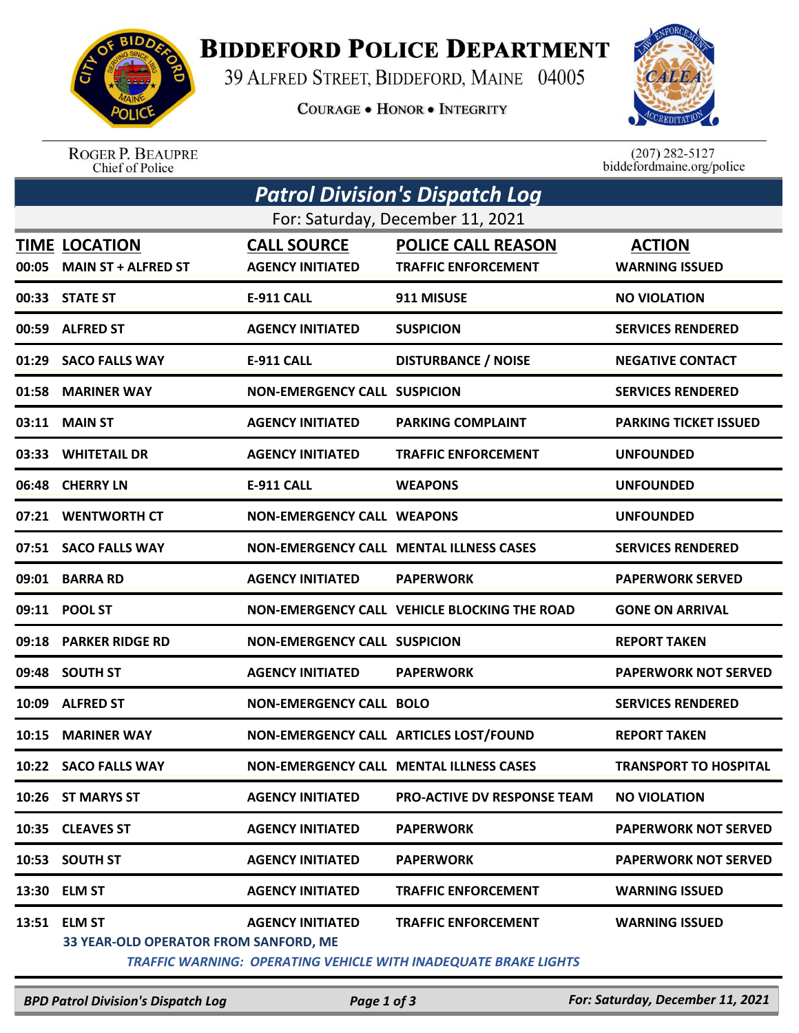

## **BIDDEFORD POLICE DEPARTMENT**

39 ALFRED STREET, BIDDEFORD, MAINE 04005

**COURAGE . HONOR . INTEGRITY** 



ROGER P. BEAUPRE<br>Chief of Police

 $(207)$  282-5127<br>biddefordmaine.org/police

| Patrol Division's Dispatch Log   |                                                        |                                               |                                                         |                                        |  |  |  |
|----------------------------------|--------------------------------------------------------|-----------------------------------------------|---------------------------------------------------------|----------------------------------------|--|--|--|
| For: Saturday, December 11, 2021 |                                                        |                                               |                                                         |                                        |  |  |  |
|                                  | <b>TIME LOCATION</b><br>00:05 MAIN ST + ALFRED ST      | <b>CALL SOURCE</b><br><b>AGENCY INITIATED</b> | <b>POLICE CALL REASON</b><br><b>TRAFFIC ENFORCEMENT</b> | <b>ACTION</b><br><b>WARNING ISSUED</b> |  |  |  |
|                                  | 00:33 STATE ST                                         | <b>E-911 CALL</b>                             | 911 MISUSE                                              | <b>NO VIOLATION</b>                    |  |  |  |
|                                  | 00:59 ALFRED ST                                        | <b>AGENCY INITIATED</b>                       | <b>SUSPICION</b>                                        | <b>SERVICES RENDERED</b>               |  |  |  |
|                                  | 01:29 SACO FALLS WAY                                   | <b>E-911 CALL</b>                             | <b>DISTURBANCE / NOISE</b>                              | <b>NEGATIVE CONTACT</b>                |  |  |  |
|                                  | 01:58 MARINER WAY                                      | <b>NON-EMERGENCY CALL SUSPICION</b>           |                                                         | <b>SERVICES RENDERED</b>               |  |  |  |
|                                  | 03:11 MAIN ST                                          | <b>AGENCY INITIATED</b>                       | <b>PARKING COMPLAINT</b>                                | <b>PARKING TICKET ISSUED</b>           |  |  |  |
|                                  | 03:33 WHITETAIL DR                                     | <b>AGENCY INITIATED</b>                       | <b>TRAFFIC ENFORCEMENT</b>                              | <b>UNFOUNDED</b>                       |  |  |  |
|                                  | 06:48 CHERRY LN                                        | <b>E-911 CALL</b>                             | <b>WEAPONS</b>                                          | <b>UNFOUNDED</b>                       |  |  |  |
|                                  | 07:21 WENTWORTH CT                                     | <b>NON-EMERGENCY CALL WEAPONS</b>             |                                                         | <b>UNFOUNDED</b>                       |  |  |  |
|                                  | 07:51 SACO FALLS WAY                                   |                                               | <b>NON-EMERGENCY CALL MENTAL ILLNESS CASES</b>          | <b>SERVICES RENDERED</b>               |  |  |  |
|                                  | 09:01 BARRA RD                                         | <b>AGENCY INITIATED</b>                       | <b>PAPERWORK</b>                                        | <b>PAPERWORK SERVED</b>                |  |  |  |
|                                  | 09:11 POOL ST                                          |                                               | NON-EMERGENCY CALL VEHICLE BLOCKING THE ROAD            | <b>GONE ON ARRIVAL</b>                 |  |  |  |
|                                  | 09:18 PARKER RIDGE RD                                  | <b>NON-EMERGENCY CALL SUSPICION</b>           |                                                         | <b>REPORT TAKEN</b>                    |  |  |  |
|                                  | 09:48 SOUTH ST                                         | <b>AGENCY INITIATED</b>                       | <b>PAPERWORK</b>                                        | <b>PAPERWORK NOT SERVED</b>            |  |  |  |
| 10:09                            | <b>ALFRED ST</b>                                       | <b>NON-EMERGENCY CALL BOLO</b>                |                                                         | <b>SERVICES RENDERED</b>               |  |  |  |
| 10:15                            | <b>MARINER WAY</b>                                     |                                               | NON-EMERGENCY CALL ARTICLES LOST/FOUND                  | <b>REPORT TAKEN</b>                    |  |  |  |
|                                  | 10:22 SACO FALLS WAY                                   |                                               | NON-EMERGENCY CALL MENTAL ILLNESS CASES                 | <b>TRANSPORT TO HOSPITAL</b>           |  |  |  |
|                                  | 10:26 ST MARYS ST                                      | <b>AGENCY INITIATED</b>                       | <b>PRO-ACTIVE DV RESPONSE TEAM</b>                      | <b>NO VIOLATION</b>                    |  |  |  |
| 10:35                            | <b>CLEAVES ST</b>                                      | <b>AGENCY INITIATED</b>                       | <b>PAPERWORK</b>                                        | <b>PAPERWORK NOT SERVED</b>            |  |  |  |
| 10:53                            | <b>SOUTH ST</b>                                        | <b>AGENCY INITIATED</b>                       | <b>PAPERWORK</b>                                        | <b>PAPERWORK NOT SERVED</b>            |  |  |  |
| 13:30                            | <b>ELM ST</b>                                          | <b>AGENCY INITIATED</b>                       | <b>TRAFFIC ENFORCEMENT</b>                              | <b>WARNING ISSUED</b>                  |  |  |  |
| 13:51                            | <b>ELM ST</b><br>33 YEAR-OLD OPERATOR FROM SANFORD, ME | <b>AGENCY INITIATED</b>                       | <b>TRAFFIC ENFORCEMENT</b>                              | <b>WARNING ISSUED</b>                  |  |  |  |

 *TRAFFIC WARNING: OPERATING VEHICLE WITH INADEQUATE BRAKE LIGHTS* 

*BPD Patrol Division's Dispatch Log Page 1 of 3 For: Saturday, December 11, 2021*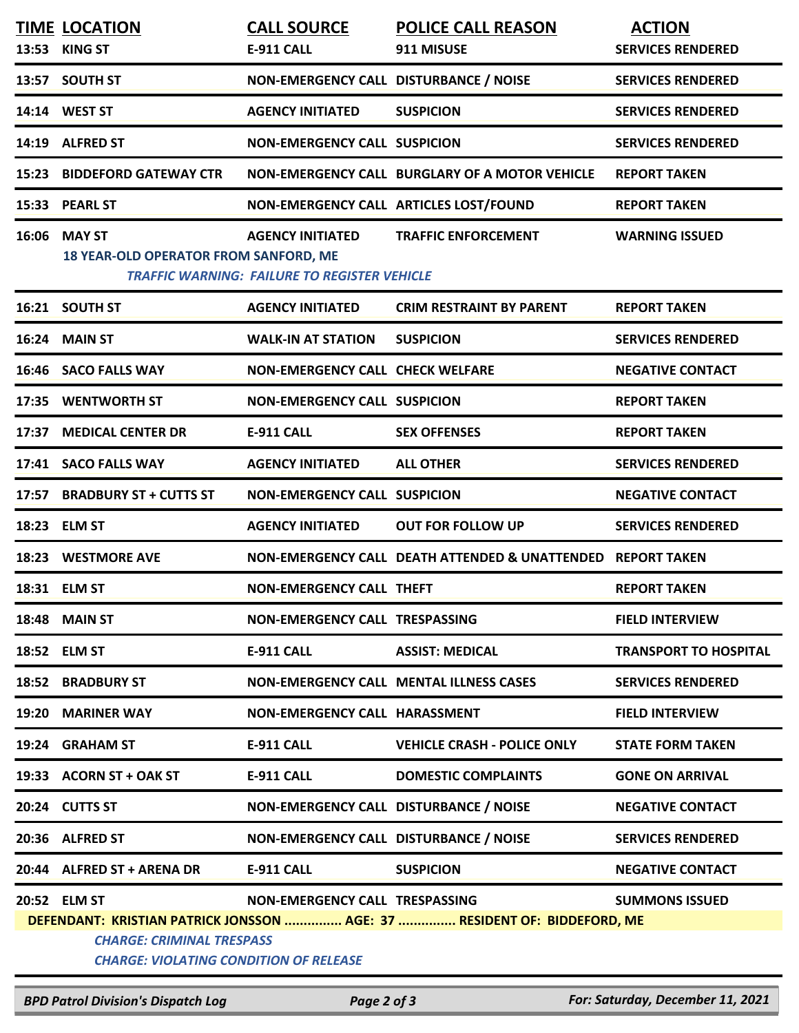| <b>TIME LOCATION</b>                                                              | <b>CALL SOURCE</b>                                                             | <b>POLICE CALL REASON</b>                                                | <b>ACTION</b>                |  |  |  |
|-----------------------------------------------------------------------------------|--------------------------------------------------------------------------------|--------------------------------------------------------------------------|------------------------------|--|--|--|
| 13:53 KING ST                                                                     | E-911 CALL                                                                     | 911 MISUSE                                                               | <b>SERVICES RENDERED</b>     |  |  |  |
| 13:57 SOUTH ST                                                                    | NON-EMERGENCY CALL DISTURBANCE / NOISE                                         |                                                                          | <b>SERVICES RENDERED</b>     |  |  |  |
| 14:14 WEST ST                                                                     | <b>AGENCY INITIATED</b>                                                        | <b>SUSPICION</b>                                                         | <b>SERVICES RENDERED</b>     |  |  |  |
| 14:19 ALFRED ST                                                                   | <b>NON-EMERGENCY CALL SUSPICION</b>                                            |                                                                          | <b>SERVICES RENDERED</b>     |  |  |  |
| <b>15:23 BIDDEFORD GATEWAY CTR</b>                                                |                                                                                | NON-EMERGENCY CALL BURGLARY OF A MOTOR VEHICLE                           | <b>REPORT TAKEN</b>          |  |  |  |
| 15:33 PEARL ST                                                                    |                                                                                | NON-EMERGENCY CALL ARTICLES LOST/FOUND                                   | <b>REPORT TAKEN</b>          |  |  |  |
| 16:06 MAY ST<br><b>18 YEAR-OLD OPERATOR FROM SANFORD, ME</b>                      | <b>AGENCY INITIATED</b><br><b>TRAFFIC WARNING: FAILURE TO REGISTER VEHICLE</b> | <b>TRAFFIC ENFORCEMENT</b>                                               | <b>WARNING ISSUED</b>        |  |  |  |
| 16:21 SOUTH ST                                                                    | <b>AGENCY INITIATED</b>                                                        | <b>CRIM RESTRAINT BY PARENT</b>                                          | <b>REPORT TAKEN</b>          |  |  |  |
| 16:24 MAIN ST                                                                     | <b>WALK-IN AT STATION</b>                                                      | <b>SUSPICION</b>                                                         | <b>SERVICES RENDERED</b>     |  |  |  |
| 16:46 SACO FALLS WAY                                                              | <b>NON-EMERGENCY CALL CHECK WELFARE</b>                                        |                                                                          | <b>NEGATIVE CONTACT</b>      |  |  |  |
| 17:35 WENTWORTH ST                                                                | <b>NON-EMERGENCY CALL SUSPICION</b>                                            |                                                                          | <b>REPORT TAKEN</b>          |  |  |  |
| 17:37 MEDICAL CENTER DR                                                           | <b>E-911 CALL</b>                                                              | <b>SEX OFFENSES</b>                                                      | <b>REPORT TAKEN</b>          |  |  |  |
| 17:41 SACO FALLS WAY                                                              | <b>AGENCY INITIATED</b>                                                        | <b>ALL OTHER</b>                                                         | <b>SERVICES RENDERED</b>     |  |  |  |
| 17:57 BRADBURY ST + CUTTS ST                                                      | <b>NON-EMERGENCY CALL SUSPICION</b>                                            |                                                                          | <b>NEGATIVE CONTACT</b>      |  |  |  |
| 18:23 ELM ST                                                                      | <b>AGENCY INITIATED</b>                                                        | <b>OUT FOR FOLLOW UP</b>                                                 | <b>SERVICES RENDERED</b>     |  |  |  |
| 18:23 WESTMORE AVE                                                                |                                                                                | NON-EMERGENCY CALL DEATH ATTENDED & UNATTENDED REPORT TAKEN              |                              |  |  |  |
| 18:31 ELM ST                                                                      | <b>NON-EMERGENCY CALL THEFT</b>                                                |                                                                          | <b>REPORT TAKEN</b>          |  |  |  |
| <b>18:48 MAIN ST</b>                                                              | NON-EMERGENCY CALL TRESPASSING                                                 |                                                                          | <b>FIELD INTERVIEW</b>       |  |  |  |
| 18:52 ELM ST                                                                      | <b>E-911 CALL</b>                                                              | <b>ASSIST: MEDICAL</b>                                                   | <b>TRANSPORT TO HOSPITAL</b> |  |  |  |
| <b>18:52 BRADBURY ST</b>                                                          |                                                                                | NON-EMERGENCY CALL MENTAL ILLNESS CASES                                  | <b>SERVICES RENDERED</b>     |  |  |  |
| 19:20 MARINER WAY                                                                 | <b>NON-EMERGENCY CALL HARASSMENT</b>                                           |                                                                          | <b>FIELD INTERVIEW</b>       |  |  |  |
| 19:24 GRAHAM ST                                                                   | E-911 CALL                                                                     | <b>VEHICLE CRASH - POLICE ONLY</b>                                       | <b>STATE FORM TAKEN</b>      |  |  |  |
| 19:33 ACORN ST + OAK ST                                                           | E-911 CALL                                                                     | <b>DOMESTIC COMPLAINTS</b>                                               | <b>GONE ON ARRIVAL</b>       |  |  |  |
| 20:24 CUTTS ST                                                                    | NON-EMERGENCY CALL DISTURBANCE / NOISE                                         |                                                                          | <b>NEGATIVE CONTACT</b>      |  |  |  |
| 20:36 ALFRED ST                                                                   | NON-EMERGENCY CALL DISTURBANCE / NOISE                                         |                                                                          | <b>SERVICES RENDERED</b>     |  |  |  |
| 20:44 ALFRED ST + ARENA DR                                                        | E-911 CALL                                                                     | <b>SUSPICION</b>                                                         | <b>NEGATIVE CONTACT</b>      |  |  |  |
| 20:52 ELM ST                                                                      | NON-EMERGENCY CALL TRESPASSING                                                 | DEFENDANT: KRISTIAN PATRICK JONSSON  AGE: 37  RESIDENT OF: BIDDEFORD, ME | <b>SUMMONS ISSUED</b>        |  |  |  |
| <b>CHARGE: CRIMINAL TRESPASS</b><br><b>CHARGE: VIOLATING CONDITION OF RELEASE</b> |                                                                                |                                                                          |                              |  |  |  |